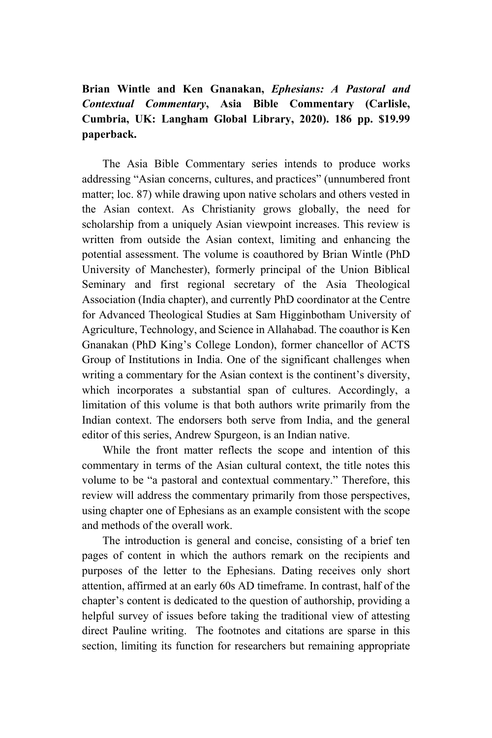## **Brian Wintle and Ken Gnanakan,** *Ephesians: A Pastoral and Contextual Commentary***, Asia Bible Commentary (Carlisle, Cumbria, UK: Langham Global Library, 2020). 186 pp. \$19.99 paperback.**

The Asia Bible Commentary series intends to produce works addressing "Asian concerns, cultures, and practices" (unnumbered front matter; loc. 87) while drawing upon native scholars and others vested in the Asian context. As Christianity grows globally, the need for scholarship from a uniquely Asian viewpoint increases. This review is written from outside the Asian context, limiting and enhancing the potential assessment. The volume is coauthored by Brian Wintle (PhD University of Manchester), formerly principal of the Union Biblical Seminary and first regional secretary of the Asia Theological Association (India chapter), and currently PhD coordinator at the Centre for Advanced Theological Studies at Sam Higginbotham University of Agriculture, Technology, and Science in Allahabad. The coauthor is Ken Gnanakan (PhD King's College London), former chancellor of ACTS Group of Institutions in India. One of the significant challenges when writing a commentary for the Asian context is the continent's diversity, which incorporates a substantial span of cultures. Accordingly, a limitation of this volume is that both authors write primarily from the Indian context. The endorsers both serve from India, and the general editor of this series, Andrew Spurgeon, is an Indian native.

While the front matter reflects the scope and intention of this commentary in terms of the Asian cultural context, the title notes this volume to be "a pastoral and contextual commentary." Therefore, this review will address the commentary primarily from those perspectives, using chapter one of Ephesians as an example consistent with the scope and methods of the overall work.

The introduction is general and concise, consisting of a brief ten pages of content in which the authors remark on the recipients and purposes of the letter to the Ephesians. Dating receives only short attention, affirmed at an early 60s AD timeframe. In contrast, half of the chapter's content is dedicated to the question of authorship, providing a helpful survey of issues before taking the traditional view of attesting direct Pauline writing. The footnotes and citations are sparse in this section, limiting its function for researchers but remaining appropriate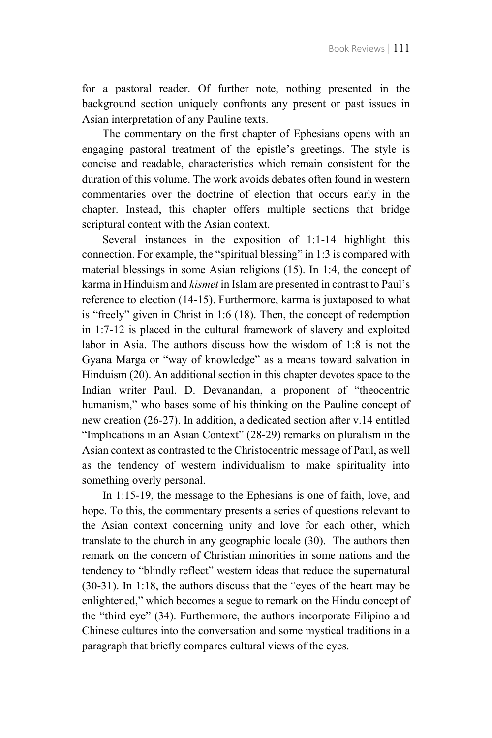for a pastoral reader. Of further note, nothing presented in the background section uniquely confronts any present or past issues in Asian interpretation of any Pauline texts.

The commentary on the first chapter of Ephesians opens with an engaging pastoral treatment of the epistle's greetings. The style is concise and readable, characteristics which remain consistent for the duration of this volume. The work avoids debates often found in western commentaries over the doctrine of election that occurs early in the chapter. Instead, this chapter offers multiple sections that bridge scriptural content with the Asian context.

Several instances in the exposition of 1:1-14 highlight this connection. For example, the "spiritual blessing" in 1:3 is compared with material blessings in some Asian religions (15). In 1:4, the concept of karma in Hinduism and *kismet* in Islam are presented in contrast to Paul's reference to election (14-15). Furthermore, karma is juxtaposed to what is "freely" given in Christ in 1:6 (18). Then, the concept of redemption in 1:7-12 is placed in the cultural framework of slavery and exploited labor in Asia. The authors discuss how the wisdom of 1:8 is not the Gyana Marga or "way of knowledge" as a means toward salvation in Hinduism (20). An additional section in this chapter devotes space to the Indian writer Paul. D. Devanandan, a proponent of "theocentric humanism," who bases some of his thinking on the Pauline concept of new creation (26-27). In addition, a dedicated section after v.14 entitled "Implications in an Asian Context" (28-29) remarks on pluralism in the Asian context as contrasted to the Christocentric message of Paul, as well as the tendency of western individualism to make spirituality into something overly personal.

In 1:15-19, the message to the Ephesians is one of faith, love, and hope. To this, the commentary presents a series of questions relevant to the Asian context concerning unity and love for each other, which translate to the church in any geographic locale (30). The authors then remark on the concern of Christian minorities in some nations and the tendency to "blindly reflect" western ideas that reduce the supernatural (30-31). In 1:18, the authors discuss that the "eyes of the heart may be enlightened," which becomes a segue to remark on the Hindu concept of the "third eye" (34). Furthermore, the authors incorporate Filipino and Chinese cultures into the conversation and some mystical traditions in a paragraph that briefly compares cultural views of the eyes.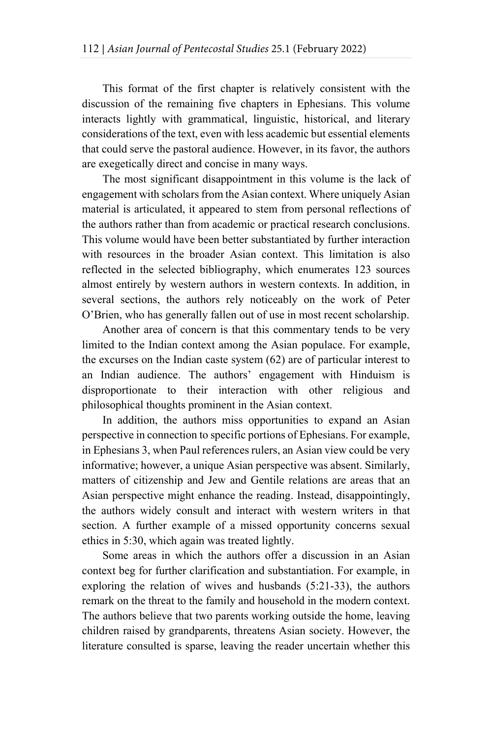This format of the first chapter is relatively consistent with the discussion of the remaining five chapters in Ephesians. This volume interacts lightly with grammatical, linguistic, historical, and literary considerations of the text, even with less academic but essential elements that could serve the pastoral audience. However, in its favor, the authors are exegetically direct and concise in many ways.

The most significant disappointment in this volume is the lack of engagement with scholars from the Asian context. Where uniquely Asian material is articulated, it appeared to stem from personal reflections of the authors rather than from academic or practical research conclusions. This volume would have been better substantiated by further interaction with resources in the broader Asian context. This limitation is also reflected in the selected bibliography, which enumerates 123 sources almost entirely by western authors in western contexts. In addition, in several sections, the authors rely noticeably on the work of Peter O'Brien, who has generally fallen out of use in most recent scholarship.

Another area of concern is that this commentary tends to be very limited to the Indian context among the Asian populace. For example, the excurses on the Indian caste system (62) are of particular interest to an Indian audience. The authors' engagement with Hinduism is disproportionate to their interaction with other religious and philosophical thoughts prominent in the Asian context.

In addition, the authors miss opportunities to expand an Asian perspective in connection to specific portions of Ephesians. For example, in Ephesians 3, when Paul references rulers, an Asian view could be very informative; however, a unique Asian perspective was absent. Similarly, matters of citizenship and Jew and Gentile relations are areas that an Asian perspective might enhance the reading. Instead, disappointingly, the authors widely consult and interact with western writers in that section. A further example of a missed opportunity concerns sexual ethics in 5:30, which again was treated lightly.

Some areas in which the authors offer a discussion in an Asian context beg for further clarification and substantiation. For example, in exploring the relation of wives and husbands (5:21-33), the authors remark on the threat to the family and household in the modern context. The authors believe that two parents working outside the home, leaving children raised by grandparents, threatens Asian society. However, the literature consulted is sparse, leaving the reader uncertain whether this